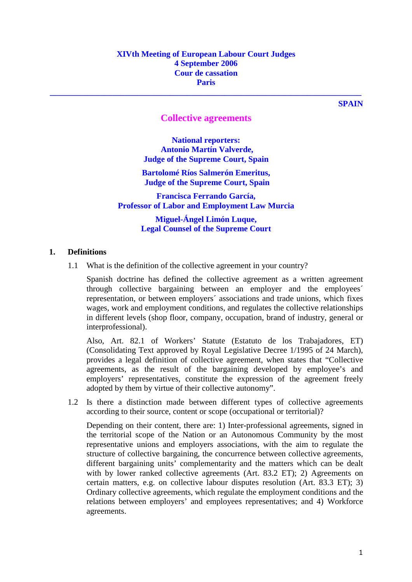# **XIVth Meeting of European Labour Court Judges 4 September 2006 Cour de cassation Paris**

**SPAIN** 

# **Collective agreements**

**\_\_\_\_\_\_\_\_\_\_\_\_\_\_\_\_\_\_\_\_\_\_\_\_\_\_\_\_\_\_\_\_\_\_\_\_\_\_\_\_\_\_\_\_\_\_\_\_\_\_\_\_\_\_\_\_\_\_\_\_\_\_\_\_\_\_\_\_\_\_\_\_\_\_\_** 

**National reporters: Antonio Martín Valverde, Judge of the Supreme Court, Spain** 

**Bartolomé Ríos Salmerón Emeritus, Judge of the Supreme Court, Spain** 

**Francisca Ferrando García, Professor of Labor and Employment Law Murcia** 

> **Miguel-Ángel Limón Luque, Legal Counsel of the Supreme Court**

## **1. Definitions**

1.1 What is the definition of the collective agreement in your country?

 Spanish doctrine has defined the collective agreement as a written agreement through collective bargaining between an employer and the employees´ representation, or between employers´ associations and trade unions, which fixes wages, work and employment conditions, and regulates the collective relationships in different levels (shop floor, company, occupation, brand of industry, general or interprofessional).

 Also, Art. 82.1 of Workers' Statute (Estatuto de los Trabajadores, ET) (Consolidating Text approved by Royal Legislative Decree 1/1995 of 24 March), provides a legal definition of collective agreement, when states that "Collective agreements, as the result of the bargaining developed by employee's and employers' representatives, constitute the expression of the agreement freely adopted by them by virtue of their collective autonomy".

1.2 Is there a distinction made between different types of collective agreements according to their source, content or scope (occupational or territorial)?

Depending on their content, there are: 1) Inter-professional agreements, signed in the territorial scope of the Nation or an Autonomous Community by the most representative unions and employers associations, with the aim to regulate the structure of collective bargaining, the concurrence between collective agreements, different bargaining units' complementarity and the matters which can be dealt with by lower ranked collective agreements (Art. 83.2 ET): 2) Agreements on certain matters, e.g. on collective labour disputes resolution (Art. 83.3 ET); 3) Ordinary collective agreements, which regulate the employment conditions and the relations between employers' and employees representatives; and 4) Workforce agreements.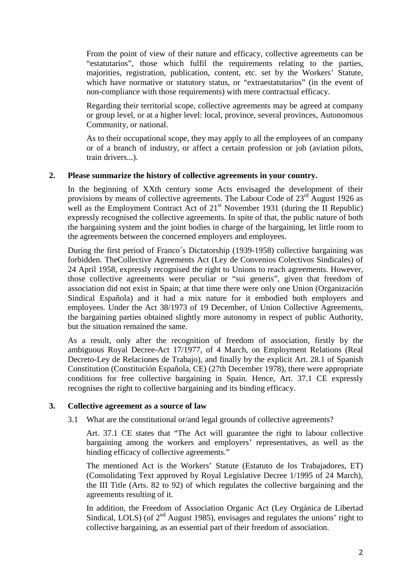From the point of view of their nature and efficacy, collective agreements can be "estatutarios", those which fulfil the requirements relating to the parties, majorities, registration, publication, content, etc. set by the Workers' Statute, which have normative or statutory status, or "extraestatutarios" (in the event of non-compliance with those requirements) with mere contractual efficacy.

Regarding their territorial scope, collective agreements may be agreed at company or group level, or at a higher level: local, province, several provinces, Autonomous Community, or national.

As to their occupational scope, they may apply to all the employees of an company or of a branch of industry, or affect a certain profession or job (aviation pilots, train drivers...).

#### **2. Please summarize the history of collective agreements in your country.**

In the beginning of XXth century some Acts envisaged the development of their provisions by means of collective agreements. The Labour Code of 23<sup>rd</sup> August 1926 as well as the Employment Contract Act of  $21<sup>st</sup>$  November 1931 (during the II Republic) expressly recognised the collective agreements. In spite of that, the public nature of both the bargaining system and the joint bodies in charge of the bargaining, let little room to the agreements between the concerned employers and employees.

During the first period of Franco´s Dictatorship (1939-1958) collective bargaining was forbidden. TheCollective Agreements Act (Ley de Convenios Colectivos Sindicales) of 24 April 1958, expressly recognised the right to Unions to reach agreements. However, those collective agreements were peculiar or "sui generis", given that freedom of association did not exist in Spain; at that time there were only one Union (Organización Sindical Española) and it had a mix nature for it embodied both employers and employees. Under the Act 38/1973 of 19 December, of Union Collective Agreements, the bargaining parties obtained slightly more autonomy in respect of public Authority, but the situation remained the same.

As a result, only after the recognition of freedom of association, firstly by the ambiguous Royal Decree-Act 17/1977, of 4 March, on Employment Relations (Real Decreto-Ley de Relaciones de Trabajo), and finally by the explicit Art. 28.1 of Spanish Constitution (Constitución Española, CE) (27th December 1978), there were appropriate conditions for free collective bargaining in Spain. Hence, Art. 37.1 CE expressly recognises the right to collective bargaining and its binding efficacy.

#### **3. Collective agreement as a source of law**

3.1 What are the constitutional or/and legal grounds of collective agreements?

Art. 37.1 CE states that "The Act will guarantee the right to labour collective bargaining among the workers and employers' representatives, as well as the binding efficacy of collective agreements."

 The mentioned Act is the Workers' Statute (Estatuto de los Trabajadores, ET) (Consolidating Text approved by Royal Legislative Decree 1/1995 of 24 March), the III Title (Arts. 82 to 92) of which regulates the collective bargaining and the agreements resulting of it.

 In addition, the Freedom of Association Organic Act (Ley Orgánica de Libertad Sindical, LOLS) (of  $2<sup>nd</sup>$  August 1985), envisages and regulates the unions' right to collective bargaining, as an essential part of their freedom of association.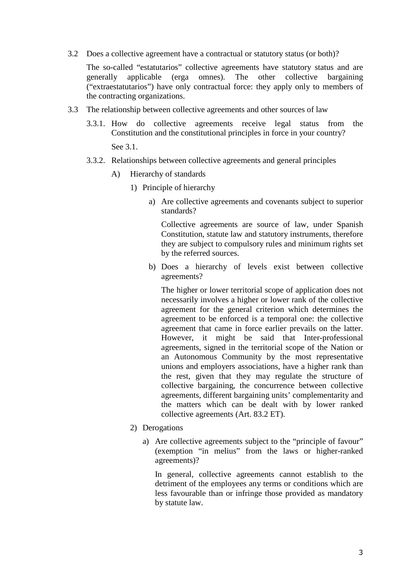3.2 Does a collective agreement have a contractual or statutory status (or both)?

 The so-called "estatutarios" collective agreements have statutory status and are generally applicable (erga omnes). The other collective bargaining ("extraestatutarios") have only contractual force: they apply only to members of the contracting organizations.

- 3.3 The relationship between collective agreements and other sources of law
	- 3.3.1. How do collective agreements receive legal status from the Constitution and the constitutional principles in force in your country?

See 3.1.

- 3.3.2. Relationships between collective agreements and general principles
	- A) Hierarchy of standards
		- 1) Principle of hierarchy
			- a) Are collective agreements and covenants subject to superior standards?

Collective agreements are source of law, under Spanish Constitution, statute law and statutory instruments, therefore they are subject to compulsory rules and minimum rights set by the referred sources.

b) Does a hierarchy of levels exist between collective agreements?

The higher or lower territorial scope of application does not necessarily involves a higher or lower rank of the collective agreement for the general criterion which determines the agreement to be enforced is a temporal one: the collective agreement that came in force earlier prevails on the latter. However, it might be said that Inter-professional agreements, signed in the territorial scope of the Nation or an Autonomous Community by the most representative unions and employers associations, have a higher rank than the rest, given that they may regulate the structure of collective bargaining, the concurrence between collective agreements, different bargaining units' complementarity and the matters which can be dealt with by lower ranked collective agreements (Art. 83.2 ET).

- 2) Derogations
	- a) Are collective agreements subject to the "principle of favour" (exemption "in melius" from the laws or higher-ranked agreements)?

In general, collective agreements cannot establish to the detriment of the employees any terms or conditions which are less favourable than or infringe those provided as mandatory by statute law.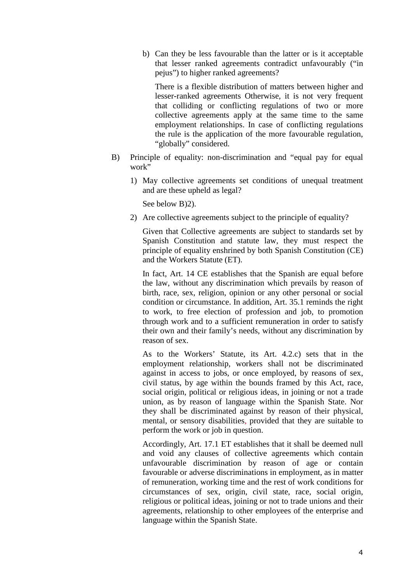b) Can they be less favourable than the latter or is it acceptable that lesser ranked agreements contradict unfavourably ("in pejus") to higher ranked agreements?

There is a flexible distribution of matters between higher and lesser-ranked agreements Otherwise, it is not very frequent that colliding or conflicting regulations of two or more collective agreements apply at the same time to the same employment relationships. In case of conflicting regulations the rule is the application of the more favourable regulation, "globally" considered.

- B) Principle of equality: non-discrimination and "equal pay for equal work"
	- 1) May collective agreements set conditions of unequal treatment and are these upheld as legal?

See below B)2).

2) Are collective agreements subject to the principle of equality?

Given that Collective agreements are subject to standards set by Spanish Constitution and statute law, they must respect the principle of equality enshrined by both Spanish Constitution (CE) and the Workers Statute (ET).

In fact, Art. 14 CE establishes that the Spanish are equal before the law, without any discrimination which prevails by reason of birth, race, sex, religion, opinion or any other personal or social condition or circumstance. In addition, Art. 35.1 reminds the right to work, to free election of profession and job, to promotion through work and to a sufficient remuneration in order to satisfy their own and their family's needs, without any discrimination by reason of sex.

As to the Workers' Statute, its Art. 4.2.c) sets that in the employment relationship, workers shall not be discriminated against in access to jobs, or once employed, by reasons of sex, civil status, by age within the bounds framed by this Act, race, social origin, political or religious ideas, in joining or not a trade union, as by reason of language within the Spanish State. Nor they shall be discriminated against by reason of their physical, mental, or sensory disabilities, provided that they are suitable to perform the work or job in question.

Accordingly, Art. 17.1 ET establishes that it shall be deemed null and void any clauses of collective agreements which contain unfavourable discrimination by reason of age or contain favourable or adverse discriminations in employment, as in matter of remuneration, working time and the rest of work conditions for circumstances of sex, origin, civil state, race, social origin, religious or political ideas, joining or not to trade unions and their agreements, relationship to other employees of the enterprise and language within the Spanish State.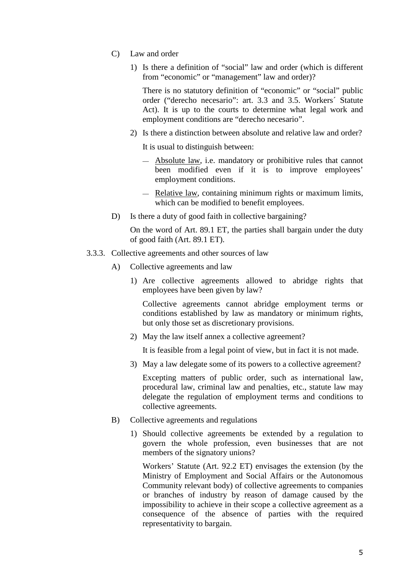- C) Law and order
	- 1) Is there a definition of "social" law and order (which is different from "economic" or "management" law and order)?

There is no statutory definition of "economic" or "social" public order ("derecho necesario": art. 3.3 and 3.5. Workers´ Statute Act). It is up to the courts to determine what legal work and employment conditions are "derecho necesario".

2) Is there a distinction between absolute and relative law and order?

It is usual to distinguish between:

- Absolute law, i.e. mandatory or prohibitive rules that cannot been modified even if it is to improve employees' employment conditions.
- Relative law, containing minimum rights or maximum limits, which can be modified to benefit employees.
- D) Is there a duty of good faith in collective bargaining?

On the word of Art. 89.1 ET, the parties shall bargain under the duty of good faith (Art. 89.1 ET).

- 3.3.3. Collective agreements and other sources of law
	- A) Collective agreements and law
		- 1) Are collective agreements allowed to abridge rights that employees have been given by law?

Collective agreements cannot abridge employment terms or conditions established by law as mandatory or minimum rights, but only those set as discretionary provisions.

2) May the law itself annex a collective agreement?

It is feasible from a legal point of view, but in fact it is not made.

3) May a law delegate some of its powers to a collective agreement?

Excepting matters of public order, such as international law, procedural law, criminal law and penalties, etc., statute law may delegate the regulation of employment terms and conditions to collective agreements.

- B) Collective agreements and regulations
	- 1) Should collective agreements be extended by a regulation to govern the whole profession, even businesses that are not members of the signatory unions?

 Workers' Statute (Art. 92.2 ET) envisages the extension (by the Ministry of Employment and Social Affairs or the Autonomous Community relevant body) of collective agreements to companies or branches of industry by reason of damage caused by the impossibility to achieve in their scope a collective agreement as a consequence of the absence of parties with the required representativity to bargain.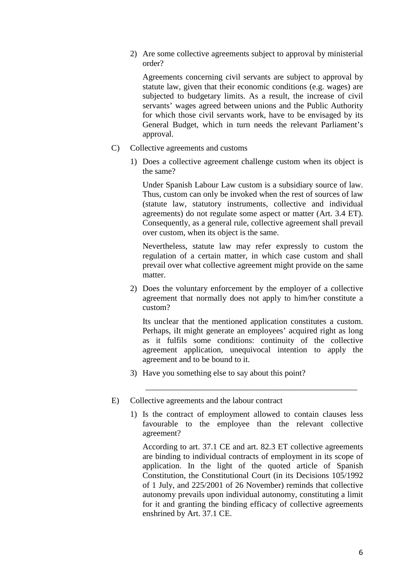2) Are some collective agreements subject to approval by ministerial order?

 Agreements concerning civil servants are subject to approval by statute law, given that their economic conditions (e.g. wages) are subjected to budgetary limits. As a result, the increase of civil servants' wages agreed between unions and the Public Authority for which those civil servants work, have to be envisaged by its General Budget, which in turn needs the relevant Parliament's approval.

- C) Collective agreements and customs
	- 1) Does a collective agreement challenge custom when its object is the same?

 Under Spanish Labour Law custom is a subsidiary source of law. Thus, custom can only be invoked when the rest of sources of law (statute law, statutory instruments, collective and individual agreements) do not regulate some aspect or matter (Art. 3.4 ET). Consequently, as a general rule, collective agreement shall prevail over custom, when its object is the same.

 Nevertheless, statute law may refer expressly to custom the regulation of a certain matter, in which case custom and shall prevail over what collective agreement might provide on the same matter.

2) Does the voluntary enforcement by the employer of a collective agreement that normally does not apply to him/her constitute a custom?

Its unclear that the mentioned application constitutes a custom. Perhaps, iIt might generate an employees' acquired right as long as it fulfils some conditions: continuity of the collective agreement application, unequivocal intention to apply the agreement and to be bound to it.

\_\_\_\_\_\_\_\_\_\_\_\_\_\_\_\_\_\_\_\_\_\_\_\_\_\_\_\_\_\_\_\_\_\_\_\_\_\_\_\_\_\_\_\_\_\_\_\_\_\_\_

3) Have you something else to say about this point?

#### E) Collective agreements and the labour contract

1) Is the contract of employment allowed to contain clauses less favourable to the employee than the relevant collective agreement?

According to art. 37.1 CE and art. 82.3 ET collective agreements are binding to individual contracts of employment in its scope of application. In the light of the quoted article of Spanish Constitution, the Constitutional Court (in its Decisions 105/1992 of 1 July, and 225/2001 of 26 November) reminds that collective autonomy prevails upon individual autonomy, constituting a limit for it and granting the binding efficacy of collective agreements enshrined by Art. 37.1 CE.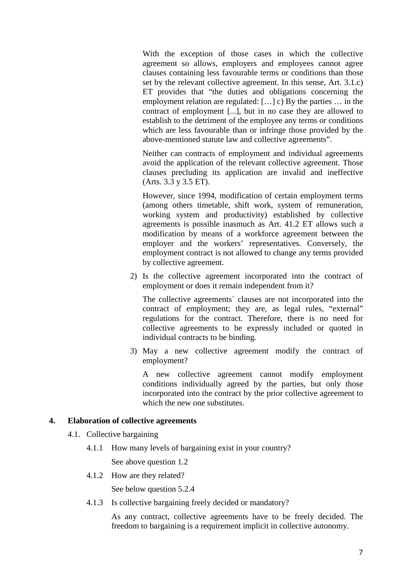With the exception of those cases in which the collective agreement so allows, employers and employees cannot agree clauses containing less favourable terms or conditions than those set by the relevant collective agreement. In this sense, Art. 3.1.c) ET provides that "the duties and obligations concerning the employment relation are regulated: […] c) By the parties … in the contract of employment [...], but in no case they are allowed to establish to the detriment of the employee any terms or conditions which are less favourable than or infringe those provided by the above-mentioned statute law and collective agreements".

Neither can contracts of employment and individual agreements avoid the application of the relevant collective agreement. Those clauses precluding its application are invalid and ineffective (Arts. 3.3 y 3.5 ET).

However, since 1994, modification of certain employment terms (among others timetable, shift work, system of remuneration, working system and productivity) established by collective agreements is possible inasmuch as Art. 41.2 ET allows such a modification by means of a workforce agreement between the employer and the workers' representatives. Conversely, the employment contract is not allowed to change any terms provided by collective agreement.

2) Is the collective agreement incorporated into the contract of employment or does it remain independent from it?

The collective agreements´ clauses are not incorporated into the contract of employment; they are, as legal rules, "external" regulations for the contract. Therefore, there is no need for collective agreements to be expressly included or quoted in individual contracts to be binding.

3) May a new collective agreement modify the contract of employment?

 A new collective agreement cannot modify employment conditions individually agreed by the parties, but only those incorporated into the contract by the prior collective agreement to which the new one substitutes.

## **4. Elaboration of collective agreements**

- 4.1. Collective bargaining
	- 4.1.1 How many levels of bargaining exist in your country? See above question 1.2
	- 4.1.2 How are they related?

See below question 5.2.4

4.1.3 Is collective bargaining freely decided or mandatory?

As any contract, collective agreements have to be freely decided. The freedom to bargaining is a requirement implicit in collective autonomy.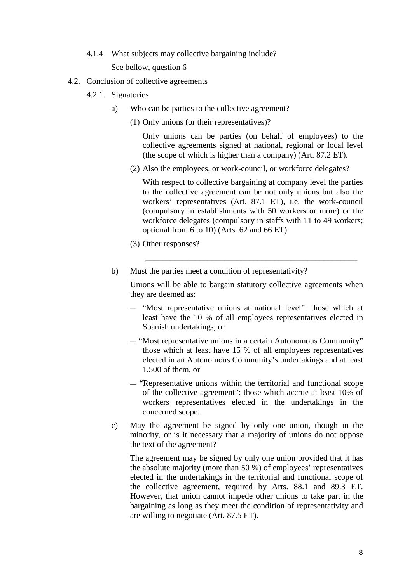- 4.1.4 What subjects may collective bargaining include? See bellow, question 6
- 4.2. Conclusion of collective agreements
	- 4.2.1. Signatories
		- a) Who can be parties to the collective agreement?
			- (1) Only unions (or their representatives)?

Only unions can be parties (on behalf of employees) to the collective agreements signed at national, regional or local level (the scope of which is higher than a company) (Art. 87.2 ET).

(2) Also the employees, or work-council, or workforce delegates?

With respect to collective bargaining at company level the parties to the collective agreement can be not only unions but also the workers' representatives (Art. 87.1 ET), i.e. the work-council (compulsory in establishments with 50 workers or more) or the workforce delegates (compulsory in staffs with 11 to 49 workers; optional from 6 to 10) (Arts. 62 and 66 ET).

- (3) Other responses?
- b) Must the parties meet a condition of representativity?

 $\overline{\phantom{a}}$  ,  $\overline{\phantom{a}}$  ,  $\overline{\phantom{a}}$  ,  $\overline{\phantom{a}}$  ,  $\overline{\phantom{a}}$  ,  $\overline{\phantom{a}}$  ,  $\overline{\phantom{a}}$  ,  $\overline{\phantom{a}}$  ,  $\overline{\phantom{a}}$  ,  $\overline{\phantom{a}}$  ,  $\overline{\phantom{a}}$  ,  $\overline{\phantom{a}}$  ,  $\overline{\phantom{a}}$  ,  $\overline{\phantom{a}}$  ,  $\overline{\phantom{a}}$  ,  $\overline{\phantom{a}}$ 

Unions will be able to bargain statutory collective agreements when they are deemed as:

- "Most representative unions at national level": those which at least have the 10 % of all employees representatives elected in Spanish undertakings, or
- "Most representative unions in a certain Autonomous Community" those which at least have 15 % of all employees representatives elected in an Autonomous Community's undertakings and at least 1.500 of them, or
- "Representative unions within the territorial and functional scope of the collective agreement": those which accrue at least 10% of workers representatives elected in the undertakings in the concerned scope.
- c) May the agreement be signed by only one union, though in the minority, or is it necessary that a majority of unions do not oppose the text of the agreement?

The agreement may be signed by only one union provided that it has the absolute majority (more than 50 %) of employees' representatives elected in the undertakings in the territorial and functional scope of the collective agreement, required by Arts. 88.1 and 89.3 ET. However, that union cannot impede other unions to take part in the bargaining as long as they meet the condition of representativity and are willing to negotiate (Art. 87.5 ET).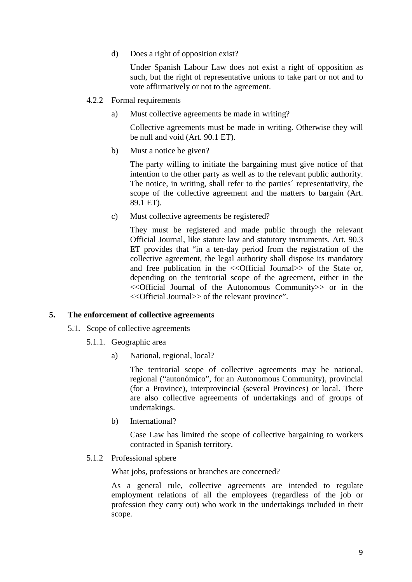d) Does a right of opposition exist?

Under Spanish Labour Law does not exist a right of opposition as such, but the right of representative unions to take part or not and to vote affirmatively or not to the agreement.

- 4.2.2 Formal requirements
	- a) Must collective agreements be made in writing?

Collective agreements must be made in writing. Otherwise they will be null and void (Art. 90.1 ET).

b) Must a notice be given?

The party willing to initiate the bargaining must give notice of that intention to the other party as well as to the relevant public authority. The notice, in writing, shall refer to the parties´ representativity, the scope of the collective agreement and the matters to bargain (Art. 89.1 ET).

c) Must collective agreements be registered?

They must be registered and made public through the relevant Official Journal, like statute law and statutory instruments. Art. 90.3 ET provides that "in a ten-day period from the registration of the collective agreement, the legal authority shall dispose its mandatory and free publication in the  $\ll$ Official Journal>> of the State or, depending on the territorial scope of the agreement, either in the <<Official Journal of the Autonomous Community>> or in the <<Official Journal>> of the relevant province".

#### **5. The enforcement of collective agreements**

- 5.1. Scope of collective agreements
	- 5.1.1. Geographic area
		- a) National, regional, local?

The territorial scope of collective agreements may be national, regional ("autonómico", for an Autonomous Community), provincial (for a Province), interprovincial (several Provinces) or local. There are also collective agreements of undertakings and of groups of undertakings.

b) International?

Case Law has limited the scope of collective bargaining to workers contracted in Spanish territory.

5.1.2 Professional sphere

What jobs, professions or branches are concerned?

As a general rule, collective agreements are intended to regulate employment relations of all the employees (regardless of the job or profession they carry out) who work in the undertakings included in their scope.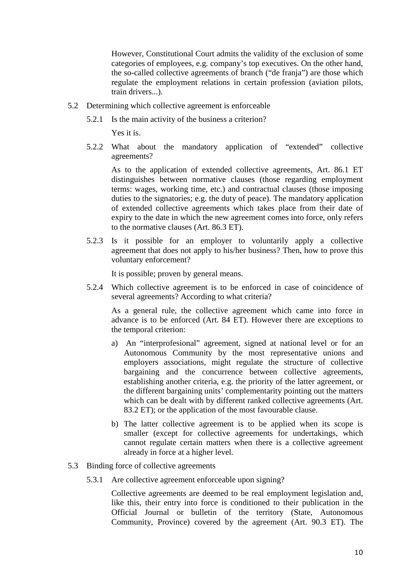However, Constitutional Court admits the validity of the exclusion of some categories of employees, e.g. company's top executives. On the other hand, the so-called collective agreements of branch ("de franja") are those which regulate the employment relations in certain profession (aviation pilots, train drivers...).

- 5.2 Determining which collective agreement is enforceable
	- 5.2.1 Is the main activity of the business a criterion?

Yes it is.

 5.2.2 What about the mandatory application of "extended" collective agreements?

As to the application of extended collective agreements, Art. 86.1 ET distinguishes between normative clauses (those regarding employment terms: wages, working time, etc.) and contractual clauses (those imposing duties to the signatories; e.g. the duty of peace). The mandatory application of extended collective agreements which takes place from their date of expiry to the date in which the new agreement comes into force, only refers to the normative clauses (Art. 86.3 ET).

 5.2.3 Is it possible for an employer to voluntarily apply a collective agreement that does not apply to his/her business? Then, how to prove this voluntary enforcement?

It is possible; proven by general means.

 5.2.4 Which collective agreement is to be enforced in case of coincidence of several agreements? According to what criteria?

As a general rule, the collective agreement which came into force in advance is to be enforced (Art. 84 ET). However there are exceptions to the temporal criterion:

- a) An "interprofesional" agreement, signed at national level or for an Autonomous Community by the most representative unions and employers associations, might regulate the structure of collective bargaining and the concurrence between collective agreements, establishing another criteria, e.g. the priority of the latter agreement, or the different bargaining units' complementarity pointing out the matters which can be dealt with by different ranked collective agreements (Art. 83.2 ET); or the application of the most favourable clause.
- b) The latter collective agreement is to be applied when its scope is smaller (except for collective agreements for undertakings, which cannot regulate certain matters when there is a collective agreement already in force at a higher level.
- 5.3 Binding force of collective agreements
	- 5.3.1 Are collective agreement enforceable upon signing?

Collective agreements are deemed to be real employment legislation and, like this, their entry into force is conditioned to their publication in the Official Journal or bulletin of the territory (State, Autonomous Community, Province) covered by the agreement (Art. 90.3 ET). The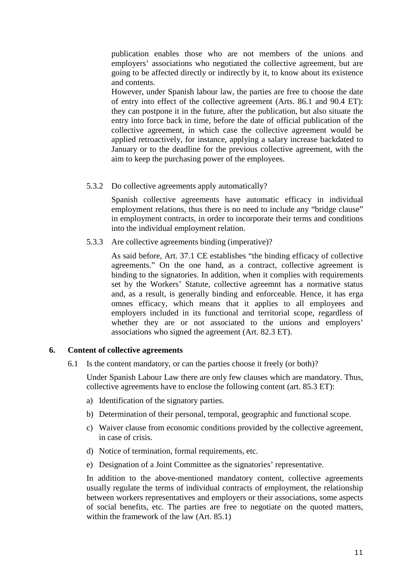publication enables those who are not members of the unions and employers' associations who negotiated the collective agreement, but are going to be affected directly or indirectly by it, to know about its existence and contents.

However, under Spanish labour law, the parties are free to choose the date of entry into effect of the collective agreement (Arts. 86.1 and 90.4 ET): they can postpone it in the future, after the publication, but also situate the entry into force back in time, before the date of official publication of the collective agreement, in which case the collective agreement would be applied retroactively, for instance, applying a salary increase backdated to January or to the deadline for the previous collective agreement, with the aim to keep the purchasing power of the employees.

5.3.2 Do collective agreements apply automatically?

 Spanish collective agreements have automatic efficacy in individual employment relations, thus there is no need to include any "bridge clause" in employment contracts, in order to incorporate their terms and conditions into the individual employment relation.

5.3.3 Are collective agreements binding (imperative)?

As said before, Art. 37.1 CE establishes "the binding efficacy of collective agreements." On the one hand, as a contract, collective agreement is binding to the signatories. In addition, when it complies with requirements set by the Workers' Statute, collective agreemnt has a normative status and, as a result, is generally binding and enforceable. Hence, it has erga omnes efficacy, which means that it applies to all employees and employers included in its functional and territorial scope, regardless of whether they are or not associated to the unions and employers' associations who signed the agreement (Art. 82.3 ET).

## **6. Content of collective agreements**

6.1 Is the content mandatory, or can the parties choose it freely (or both)?

Under Spanish Labour Law there are only few clauses which are mandatory. Thus, collective agreements have to enclose the following content (art. 85.3 ET):

- a) Identification of the signatory parties.
- b) Determination of their personal, temporal, geographic and functional scope.
- c) Waiver clause from economic conditions provided by the collective agreement, in case of crisis.
- d) Notice of termination, formal requirements, etc.
- e) Designation of a Joint Committee as the signatories' representative.

In addition to the above-mentioned mandatory content, collective agreements usually regulate the terms of individual contracts of employment, the relationship between workers representatives and employers or their associations, some aspects of social benefits, etc. The parties are free to negotiate on the quoted matters, within the framework of the law (Art. 85.1)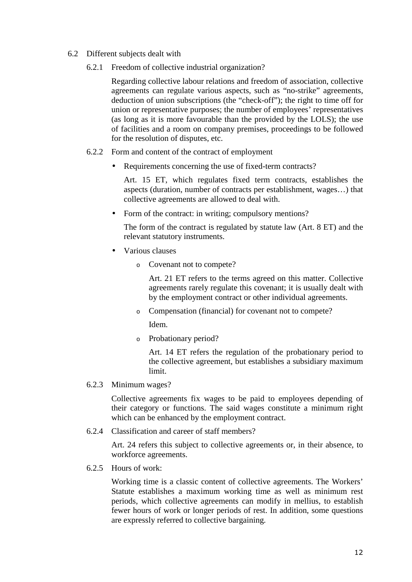- 6.2 Different subjects dealt with
	- 6.2.1 Freedom of collective industrial organization?

Regarding collective labour relations and freedom of association, collective agreements can regulate various aspects, such as "no-strike" agreements, deduction of union subscriptions (the "check-off"); the right to time off for union or representative purposes; the number of employees' representatives (as long as it is more favourable than the provided by the LOLS); the use of facilities and a room on company premises, proceedings to be followed for the resolution of disputes, etc.

- 6.2.2 Form and content of the contract of employment
	- Requirements concerning the use of fixed-term contracts?

Art. 15 ET, which regulates fixed term contracts, establishes the aspects (duration, number of contracts per establishment, wages…) that collective agreements are allowed to deal with.

• Form of the contract: in writing; compulsory mentions?

The form of the contract is regulated by statute law (Art. 8 ET) and the relevant statutory instruments.

- Various clauses
	- o Covenant not to compete?

Art. 21 ET refers to the terms agreed on this matter. Collective agreements rarely regulate this covenant; it is usually dealt with by the employment contract or other individual agreements.

o Compensation (financial) for covenant not to compete?

Idem.

o Probationary period?

Art. 14 ET refers the regulation of the probationary period to the collective agreement, but establishes a subsidiary maximum limit.

6.2.3 Minimum wages?

Collective agreements fix wages to be paid to employees depending of their category or functions. The said wages constitute a minimum right which can be enhanced by the employment contract.

6.2.4 Classification and career of staff members?

Art. 24 refers this subject to collective agreements or, in their absence, to workforce agreements.

6.2.5 Hours of work:

Working time is a classic content of collective agreements. The Workers' Statute establishes a maximum working time as well as minimum rest periods, which collective agreements can modify in mellius, to establish fewer hours of work or longer periods of rest. In addition, some questions are expressly referred to collective bargaining.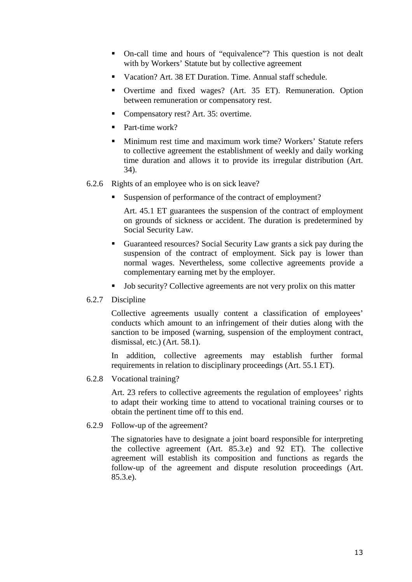- On-call time and hours of "equivalence"? This question is not dealt with by Workers' Statute but by collective agreement
- Vacation? Art. 38 ET Duration. Time. Annual staff schedule.
- Overtime and fixed wages? (Art. 35 ET). Remuneration. Option between remuneration or compensatory rest.
- Compensatory rest? Art. 35: overtime.
- $\blacksquare$  Part-time work?
- Minimum rest time and maximum work time? Workers' Statute refers to collective agreement the establishment of weekly and daily working time duration and allows it to provide its irregular distribution (Art. 34).
- 6.2.6 Rights of an employee who is on sick leave?
	- Suspension of performance of the contract of employment?

Art. 45.1 ET guarantees the suspension of the contract of employment on grounds of sickness or accident. The duration is predetermined by Social Security Law.

- Guaranteed resources? Social Security Law grants a sick pay during the suspension of the contract of employment. Sick pay is lower than normal wages. Nevertheless, some collective agreements provide a complementary earning met by the employer.
- Job security? Collective agreements are not very prolix on this matter
- 6.2.7 Discipline

Collective agreements usually content a classification of employees' conducts which amount to an infringement of their duties along with the sanction to be imposed (warning, suspension of the employment contract, dismissal, etc.) (Art. 58.1).

In addition, collective agreements may establish further formal requirements in relation to disciplinary proceedings (Art. 55.1 ET).

6.2.8 Vocational training?

Art. 23 refers to collective agreements the regulation of employees' rights to adapt their working time to attend to vocational training courses or to obtain the pertinent time off to this end.

6.2.9 Follow-up of the agreement?

The signatories have to designate a joint board responsible for interpreting the collective agreement (Art. 85.3.e) and 92 ET). The collective agreement will establish its composition and functions as regards the follow-up of the agreement and dispute resolution proceedings (Art. 85.3.e).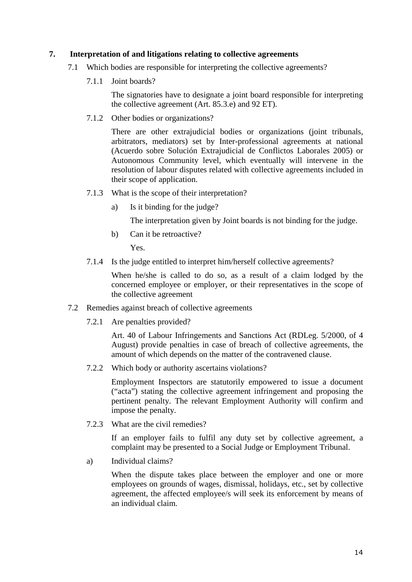## **7. Interpretation of and litigations relating to collective agreements**

- 7.1 Which bodies are responsible for interpreting the collective agreements?
	- 7.1.1 Joint boards?

The signatories have to designate a joint board responsible for interpreting the collective agreement (Art. 85.3.e) and 92 ET).

7.1.2 Other bodies or organizations?

There are other extrajudicial bodies or organizations (joint tribunals, arbitrators, mediators) set by Inter-professional agreements at national (Acuerdo sobre Solución Extrajudicial de Conflictos Laborales 2005) or Autonomous Community level, which eventually will intervene in the resolution of labour disputes related with collective agreements included in their scope of application.

- 7.1.3 What is the scope of their interpretation?
	- a) Is it binding for the judge?

The interpretation given by Joint boards is not binding for the judge.

b) Can it be retroactive?

Yes.

7.1.4 Is the judge entitled to interpret him/herself collective agreements?

When he/she is called to do so, as a result of a claim lodged by the concerned employee or employer, or their representatives in the scope of the collective agreement

- 7.2 Remedies against breach of collective agreements
	- 7.2.1 Are penalties provided?

Art. 40 of Labour Infringements and Sanctions Act (RDLeg. 5/2000, of 4 August) provide penalties in case of breach of collective agreements, the amount of which depends on the matter of the contravened clause.

7.2.2 Which body or authority ascertains violations?

Employment Inspectors are statutorily empowered to issue a document ("acta") stating the collective agreement infringement and proposing the pertinent penalty. The relevant Employment Authority will confirm and impose the penalty.

7.2.3 What are the civil remedies?

If an employer fails to fulfil any duty set by collective agreement, a complaint may be presented to a Social Judge or Employment Tribunal.

a) Individual claims?

When the dispute takes place between the employer and one or more employees on grounds of wages, dismissal, holidays, etc., set by collective agreement, the affected employee/s will seek its enforcement by means of an individual claim.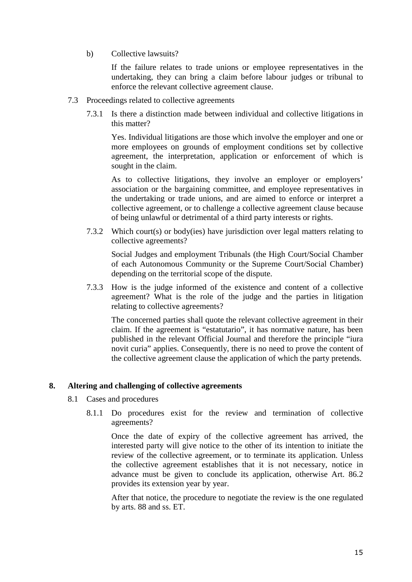b) Collective lawsuits?

If the failure relates to trade unions or employee representatives in the undertaking, they can bring a claim before labour judges or tribunal to enforce the relevant collective agreement clause.

- 7.3 Proceedings related to collective agreements
	- 7.3.1 Is there a distinction made between individual and collective litigations in this matter?

Yes. Individual litigations are those which involve the employer and one or more employees on grounds of employment conditions set by collective agreement, the interpretation, application or enforcement of which is sought in the claim.

As to collective litigations, they involve an employer or employers' association or the bargaining committee, and employee representatives in the undertaking or trade unions, and are aimed to enforce or interpret a collective agreement, or to challenge a collective agreement clause because of being unlawful or detrimental of a third party interests or rights.

 7.3.2 Which court(s) or body(ies) have jurisdiction over legal matters relating to collective agreements?

Social Judges and employment Tribunals (the High Court/Social Chamber of each Autonomous Community or the Supreme Court/Social Chamber) depending on the territorial scope of the dispute.

 7.3.3 How is the judge informed of the existence and content of a collective agreement? What is the role of the judge and the parties in litigation relating to collective agreements?

The concerned parties shall quote the relevant collective agreement in their claim. If the agreement is "estatutario", it has normative nature, has been published in the relevant Official Journal and therefore the principle "iura novit curia" applies. Consequently, there is no need to prove the content of the collective agreement clause the application of which the party pretends.

## **8. Altering and challenging of collective agreements**

- 8.1 Cases and procedures
	- 8.1.1 Do procedures exist for the review and termination of collective agreements?

Once the date of expiry of the collective agreement has arrived, the interested party will give notice to the other of its intention to initiate the review of the collective agreement, or to terminate its application. Unless the collective agreement establishes that it is not necessary, notice in advance must be given to conclude its application, otherwise Art. 86.2 provides its extension year by year.

After that notice, the procedure to negotiate the review is the one regulated by arts. 88 and ss. ET.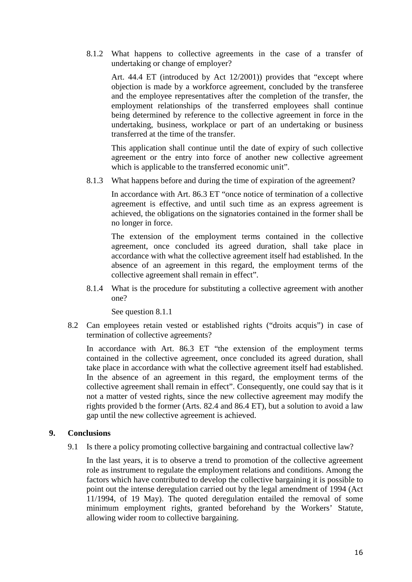8.1.2 What happens to collective agreements in the case of a transfer of undertaking or change of employer?

Art. 44.4 ET (introduced by Act 12/2001)) provides that "except where objection is made by a workforce agreement, concluded by the transferee and the employee representatives after the completion of the transfer, the employment relationships of the transferred employees shall continue being determined by reference to the collective agreement in force in the undertaking, business, workplace or part of an undertaking or business transferred at the time of the transfer.

This application shall continue until the date of expiry of such collective agreement or the entry into force of another new collective agreement which is applicable to the transferred economic unit".

8.1.3 What happens before and during the time of expiration of the agreement?

In accordance with Art. 86.3 ET "once notice of termination of a collective agreement is effective, and until such time as an express agreement is achieved, the obligations on the signatories contained in the former shall be no longer in force.

The extension of the employment terms contained in the collective agreement, once concluded its agreed duration, shall take place in accordance with what the collective agreement itself had established. In the absence of an agreement in this regard, the employment terms of the collective agreement shall remain in effect".

 8.1.4 What is the procedure for substituting a collective agreement with another one?

See question 8.1.1

 8.2 Can employees retain vested or established rights ("droits acquis") in case of termination of collective agreements?

In accordance with Art. 86.3 ET "the extension of the employment terms contained in the collective agreement, once concluded its agreed duration, shall take place in accordance with what the collective agreement itself had established. In the absence of an agreement in this regard, the employment terms of the collective agreement shall remain in effect". Consequently, one could say that is it not a matter of vested rights, since the new collective agreement may modify the rights provided b the former (Arts. 82.4 and 86.4 ET), but a solution to avoid a law gap until the new collective agreement is achieved.

#### **9. Conclusions**

9.1 Is there a policy promoting collective bargaining and contractual collective law?

 In the last years, it is to observe a trend to promotion of the collective agreement role as instrument to regulate the employment relations and conditions. Among the factors which have contributed to develop the collective bargaining it is possible to point out the intense deregulation carried out by the legal amendment of 1994 (Act 11/1994, of 19 May). The quoted deregulation entailed the removal of some minimum employment rights, granted beforehand by the Workers' Statute, allowing wider room to collective bargaining.